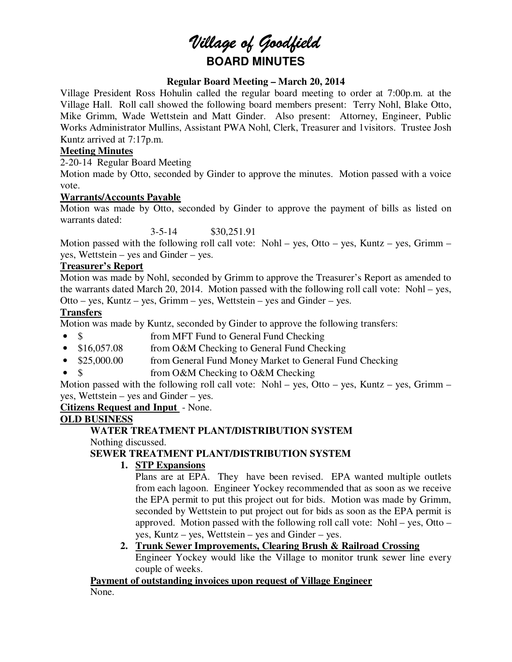# *Village of Goodfield* **BOARD MINUTES**

### **Regular Board Meeting – March 20, 2014**

Village President Ross Hohulin called the regular board meeting to order at 7:00p.m. at the Village Hall. Roll call showed the following board members present: Terry Nohl, Blake Otto, Mike Grimm, Wade Wettstein and Matt Ginder. Also present: Attorney, Engineer, Public Works Administrator Mullins, Assistant PWA Nohl, Clerk, Treasurer and 1visitors. Trustee Josh Kuntz arrived at 7:17p.m.

#### **Meeting Minutes**

2-20-14 Regular Board Meeting

Motion made by Otto, seconded by Ginder to approve the minutes. Motion passed with a voice vote.

#### **Warrants/Accounts Payable**

Motion was made by Otto, seconded by Ginder to approve the payment of bills as listed on warrants dated:

3-5-14 \$30,251.91

Motion passed with the following roll call vote: Nohl – yes, Otto – yes, Kuntz – yes, Grimm – yes, Wettstein – yes and Ginder – yes.

#### **Treasurer's Report**

Motion was made by Nohl, seconded by Grimm to approve the Treasurer's Report as amended to the warrants dated March 20, 2014. Motion passed with the following roll call vote: Nohl – yes, Otto – yes, Kuntz – yes, Grimm – yes, Wettstein – yes and Ginder – yes.

#### **Transfers**

Motion was made by Kuntz, seconded by Ginder to approve the following transfers:

- \$ from MFT Fund to General Fund Checking
- \$16,057.08 from O&M Checking to General Fund Checking
- \$25,000.00 from General Fund Money Market to General Fund Checking
- \$ from O&M Checking to O&M Checking

Motion passed with the following roll call vote: Nohl – yes, Otto – yes, Kuntz – yes, Grimm – yes, Wettstein – yes and Ginder – yes.

**Citizens Request and Input** - None.

# **OLD BUSINESS**

# **WATER TREATMENT PLANT/DISTRIBUTION SYSTEM**

Nothing discussed.

# **SEWER TREATMENT PLANT/DISTRIBUTION SYSTEM**

#### **1. STP Expansions**

Plans are at EPA. They have been revised. EPA wanted multiple outlets from each lagoon. Engineer Yockey recommended that as soon as we receive the EPA permit to put this project out for bids. Motion was made by Grimm, seconded by Wettstein to put project out for bids as soon as the EPA permit is approved. Motion passed with the following roll call vote: Nohl – yes, Otto – yes, Kuntz – yes, Wettstein – yes and Ginder – yes.

#### **2. Trunk Sewer Improvements, Clearing Brush & Railroad Crossing**

Engineer Yockey would like the Village to monitor trunk sewer line every couple of weeks.

**Payment of outstanding invoices upon request of Village Engineer**  None.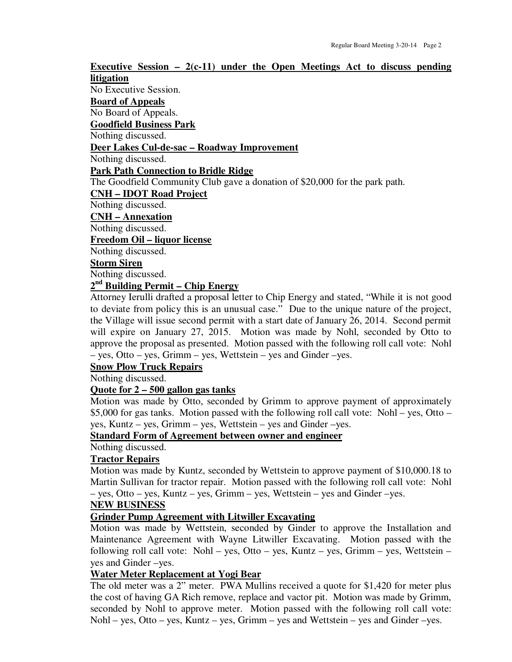**Executive Session – 2(c-11) under the Open Meetings Act to discuss pending litigation**  No Executive Session. **Board of Appeals**  No Board of Appeals. **Goodfield Business Park**  Nothing discussed. **Deer Lakes Cul-de-sac – Roadway Improvement**  Nothing discussed. **Park Path Connection to Bridle Ridge**  The Goodfield Community Club gave a donation of \$20,000 for the park path. **CNH – IDOT Road Project**  Nothing discussed. **CNH – Annexation**  Nothing discussed. **Freedom Oil – liquor license**  Nothing discussed. **Storm Siren**  Nothing discussed. **2 nd Building Permit – Chip Energy** 

Attorney Ierulli drafted a proposal letter to Chip Energy and stated, "While it is not good to deviate from policy this is an unusual case." Due to the unique nature of the project, the Village will issue second permit with a start date of January 26, 2014. Second permit will expire on January 27, 2015. Motion was made by Nohl, seconded by Otto to approve the proposal as presented. Motion passed with the following roll call vote: Nohl – yes, Otto – yes, Grimm – yes, Wettstein – yes and Ginder –yes.

### **Snow Plow Truck Repairs**

Nothing discussed.

#### **Quote for 2 – 500 gallon gas tanks**

Motion was made by Otto, seconded by Grimm to approve payment of approximately \$5,000 for gas tanks. Motion passed with the following roll call vote: Nohl – yes, Otto – yes, Kuntz – yes, Grimm – yes, Wettstein – yes and Ginder –yes.

#### **Standard Form of Agreement between owner and engineer**

Nothing discussed.

#### **Tractor Repairs**

Motion was made by Kuntz, seconded by Wettstein to approve payment of \$10,000.18 to Martin Sullivan for tractor repair. Motion passed with the following roll call vote: Nohl – yes, Otto – yes, Kuntz – yes, Grimm – yes, Wettstein – yes and Ginder –yes.

#### **NEW BUSINESS**

#### **Grinder Pump Agreement with Litwiller Excavating**

Motion was made by Wettstein, seconded by Ginder to approve the Installation and Maintenance Agreement with Wayne Litwiller Excavating. Motion passed with the following roll call vote: Nohl – yes, Otto – yes, Kuntz – yes, Grimm – yes, Wettstein – yes and Ginder –yes.

#### **Water Meter Replacement at Yogi Bear**

The old meter was a 2" meter. PWA Mullins received a quote for \$1,420 for meter plus the cost of having GA Rich remove, replace and vactor pit. Motion was made by Grimm, seconded by Nohl to approve meter. Motion passed with the following roll call vote: Nohl – yes, Otto – yes, Kuntz – yes, Grimm – yes and Wettstein – yes and Ginder –yes.